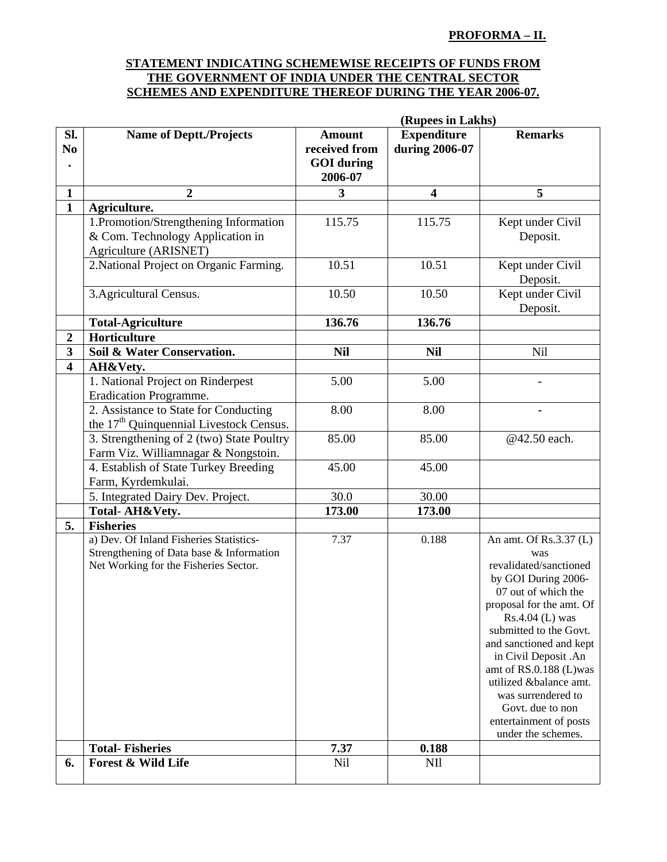## **PROFORMA – II.**

## **STATEMENT INDICATING SCHEMEWISE RECEIPTS OF FUNDS FROM THE GOVERNMENT OF INDIA UNDER THE CENTRAL SECTOR SCHEMES AND EXPENDITURE THEREOF DURING THE YEAR 2006-07.**

|                         | (Rupees in Lakhs)                                                                                                            |                                                                |                                      |                                                                                                                                                                                                                                                                                                                                                                                   |
|-------------------------|------------------------------------------------------------------------------------------------------------------------------|----------------------------------------------------------------|--------------------------------------|-----------------------------------------------------------------------------------------------------------------------------------------------------------------------------------------------------------------------------------------------------------------------------------------------------------------------------------------------------------------------------------|
| Sl.<br>N <sub>0</sub>   | <b>Name of Deptt./Projects</b>                                                                                               | <b>Amount</b><br>received from<br><b>GOI</b> during<br>2006-07 | <b>Expenditure</b><br>during 2006-07 | <b>Remarks</b>                                                                                                                                                                                                                                                                                                                                                                    |
| $\mathbf{1}$            | $\overline{2}$                                                                                                               | 3                                                              | $\overline{\mathbf{4}}$              | 5                                                                                                                                                                                                                                                                                                                                                                                 |
| $\mathbf{1}$            | Agriculture.                                                                                                                 |                                                                |                                      |                                                                                                                                                                                                                                                                                                                                                                                   |
|                         | 1.Promotion/Strengthening Information<br>& Com. Technology Application in<br>Agriculture (ARISNET)                           | 115.75                                                         | 115.75                               | Kept under Civil<br>Deposit.                                                                                                                                                                                                                                                                                                                                                      |
|                         | 2. National Project on Organic Farming.                                                                                      | 10.51                                                          | 10.51                                | Kept under Civil<br>Deposit.                                                                                                                                                                                                                                                                                                                                                      |
|                         | 3. Agricultural Census.                                                                                                      | 10.50                                                          | 10.50                                | Kept under Civil<br>Deposit.                                                                                                                                                                                                                                                                                                                                                      |
|                         | <b>Total-Agriculture</b>                                                                                                     | 136.76                                                         | 136.76                               |                                                                                                                                                                                                                                                                                                                                                                                   |
| $\boldsymbol{2}$        | Horticulture                                                                                                                 |                                                                |                                      |                                                                                                                                                                                                                                                                                                                                                                                   |
| 3                       | Soil & Water Conservation.                                                                                                   | <b>Nil</b>                                                     | <b>Nil</b>                           | Nil                                                                                                                                                                                                                                                                                                                                                                               |
| $\overline{\mathbf{4}}$ | AH&Vety.                                                                                                                     |                                                                |                                      |                                                                                                                                                                                                                                                                                                                                                                                   |
|                         | 1. National Project on Rinderpest<br>Eradication Programme.                                                                  | 5.00                                                           | 5.00                                 |                                                                                                                                                                                                                                                                                                                                                                                   |
|                         | 2. Assistance to State for Conducting<br>the 17 <sup>th</sup> Quinquennial Livestock Census.                                 | 8.00                                                           | 8.00                                 |                                                                                                                                                                                                                                                                                                                                                                                   |
|                         | 3. Strengthening of 2 (two) State Poultry<br>Farm Viz. Williamnagar & Nongstoin.                                             | 85.00                                                          | 85.00                                | @42.50 each.                                                                                                                                                                                                                                                                                                                                                                      |
|                         | 4. Establish of State Turkey Breeding<br>Farm, Kyrdemkulai.                                                                  | 45.00                                                          | 45.00                                |                                                                                                                                                                                                                                                                                                                                                                                   |
|                         | 5. Integrated Dairy Dev. Project.                                                                                            | 30.0                                                           | 30.00                                |                                                                                                                                                                                                                                                                                                                                                                                   |
|                         | Total-AH&Vety.                                                                                                               | 173.00                                                         | 173.00                               |                                                                                                                                                                                                                                                                                                                                                                                   |
| 5.                      | <b>Fisheries</b>                                                                                                             |                                                                |                                      |                                                                                                                                                                                                                                                                                                                                                                                   |
|                         | a) Dev. Of Inland Fisheries Statistics-<br>Strengthening of Data base & Information<br>Net Working for the Fisheries Sector. | 7.37                                                           | 0.188                                | An amt. Of Rs.3.37 (L)<br>was<br>revalidated/sanctioned<br>by GOI During 2006-<br>07 out of which the<br>proposal for the amt. Of<br>$Rs.4.04$ (L) was<br>submitted to the Govt.<br>and sanctioned and kept<br>in Civil Deposit .An<br>amt of RS.0.188 (L)was<br>utilized &balance amt.<br>was surrendered to<br>Govt. due to non<br>entertainment of posts<br>under the schemes. |
|                         | <b>Total-Fisheries</b>                                                                                                       | 7.37                                                           | 0.188                                |                                                                                                                                                                                                                                                                                                                                                                                   |
| 6.                      | <b>Forest &amp; Wild Life</b>                                                                                                | Nil                                                            | <b>NII</b>                           |                                                                                                                                                                                                                                                                                                                                                                                   |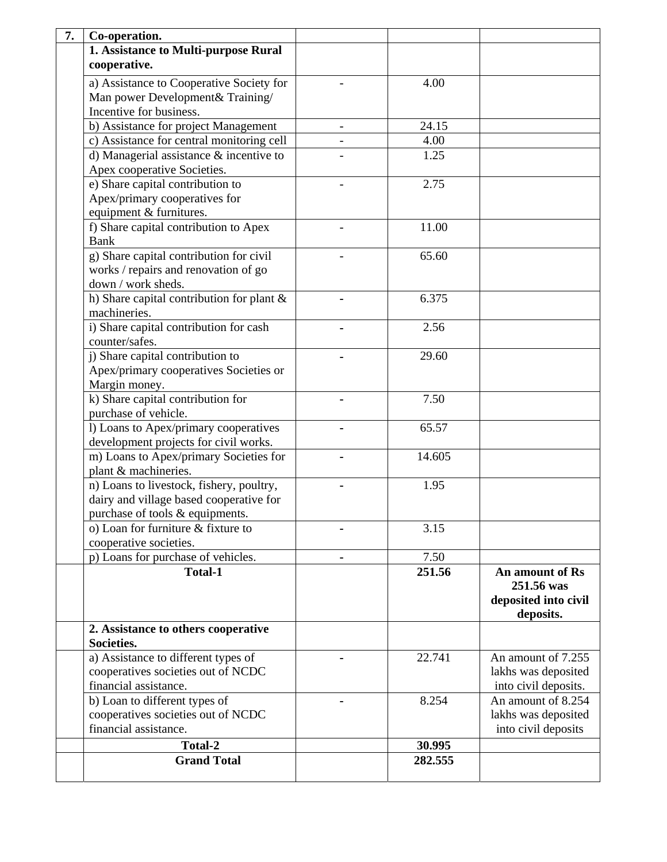| 7. | Co-operation.                                                                           |                   |              |                      |
|----|-----------------------------------------------------------------------------------------|-------------------|--------------|----------------------|
|    | 1. Assistance to Multi-purpose Rural                                                    |                   |              |                      |
|    | cooperative.                                                                            |                   |              |                      |
|    | a) Assistance to Cooperative Society for                                                |                   | 4.00         |                      |
|    | Man power Development& Training/                                                        |                   |              |                      |
|    | Incentive for business.                                                                 |                   |              |                      |
|    | b) Assistance for project Management                                                    |                   | 24.15        |                      |
|    |                                                                                         | $\qquad \qquad -$ |              |                      |
|    | c) Assistance for central monitoring cell<br>d) Managerial assistance $\&$ incentive to |                   | 4.00<br>1.25 |                      |
|    |                                                                                         |                   |              |                      |
|    | Apex cooperative Societies.                                                             |                   |              |                      |
|    | e) Share capital contribution to                                                        |                   | 2.75         |                      |
|    | Apex/primary cooperatives for                                                           |                   |              |                      |
|    | equipment & furnitures.                                                                 |                   |              |                      |
|    | f) Share capital contribution to Apex                                                   |                   | 11.00        |                      |
|    | <b>Bank</b>                                                                             |                   |              |                      |
|    | g) Share capital contribution for civil                                                 |                   | 65.60        |                      |
|    | works / repairs and renovation of go                                                    |                   |              |                      |
|    | down / work sheds.                                                                      |                   |              |                      |
|    | h) Share capital contribution for plant &                                               |                   | 6.375        |                      |
|    | machineries.                                                                            |                   |              |                      |
|    | i) Share capital contribution for cash                                                  |                   | 2.56         |                      |
|    | counter/safes.                                                                          |                   |              |                      |
|    | j) Share capital contribution to                                                        |                   | 29.60        |                      |
|    | Apex/primary cooperatives Societies or                                                  |                   |              |                      |
|    | Margin money.                                                                           |                   |              |                      |
|    | k) Share capital contribution for                                                       |                   | 7.50         |                      |
|    | purchase of vehicle.                                                                    |                   |              |                      |
|    | l) Loans to Apex/primary cooperatives                                                   |                   | 65.57        |                      |
|    | development projects for civil works.                                                   |                   |              |                      |
|    | m) Loans to Apex/primary Societies for                                                  |                   | 14.605       |                      |
|    | plant & machineries.                                                                    |                   |              |                      |
|    | n) Loans to livestock, fishery, poultry,                                                |                   | 1.95         |                      |
|    | dairy and village based cooperative for                                                 |                   |              |                      |
|    | purchase of tools & equipments.                                                         |                   |              |                      |
|    | o) Loan for furniture & fixture to                                                      |                   | 3.15         |                      |
|    | cooperative societies.                                                                  |                   |              |                      |
|    | p) Loans for purchase of vehicles.                                                      |                   | 7.50         |                      |
|    | <b>Total-1</b>                                                                          |                   | 251.56       | An amount of Rs      |
|    |                                                                                         |                   |              | 251.56 was           |
|    |                                                                                         |                   |              | deposited into civil |
|    |                                                                                         |                   |              | deposits.            |
|    | 2. Assistance to others cooperative                                                     |                   |              |                      |
|    | Societies.                                                                              |                   |              |                      |
|    | a) Assistance to different types of                                                     |                   | 22.741       | An amount of 7.255   |
|    | cooperatives societies out of NCDC                                                      |                   |              | lakhs was deposited  |
|    | financial assistance.                                                                   |                   |              | into civil deposits. |
|    | b) Loan to different types of                                                           |                   | 8.254        | An amount of 8.254   |
|    | cooperatives societies out of NCDC                                                      |                   |              | lakhs was deposited  |
|    | financial assistance.                                                                   |                   |              | into civil deposits  |
|    | Total-2                                                                                 |                   | 30.995       |                      |
|    | <b>Grand Total</b>                                                                      |                   | 282.555      |                      |
|    |                                                                                         |                   |              |                      |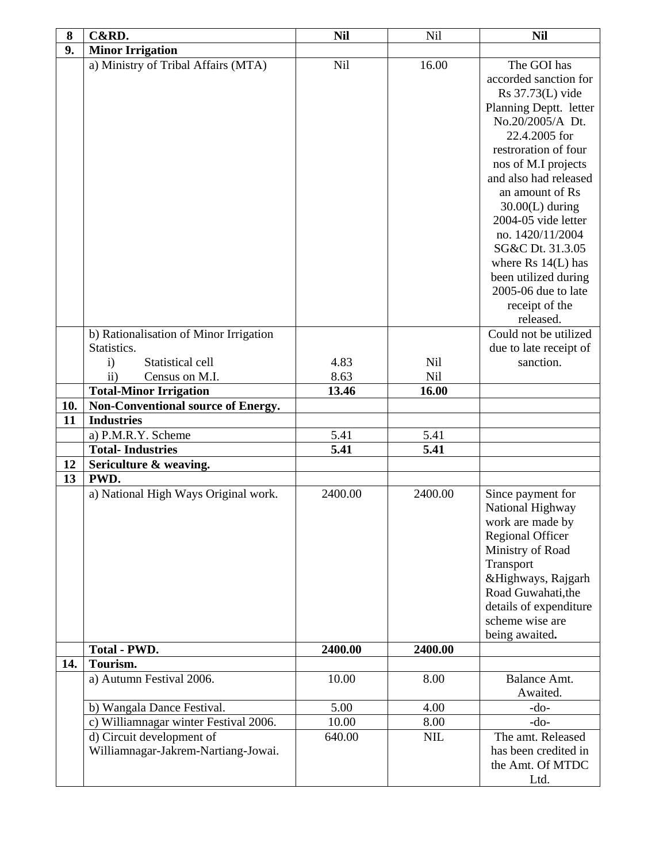| 8         | C&RD.                                                            | <b>Nil</b> | Nil        | <b>Nil</b>                                                                                                                                                                                                                                                                                                                                                                                                   |
|-----------|------------------------------------------------------------------|------------|------------|--------------------------------------------------------------------------------------------------------------------------------------------------------------------------------------------------------------------------------------------------------------------------------------------------------------------------------------------------------------------------------------------------------------|
| 9.        | <b>Minor Irrigation</b>                                          |            |            |                                                                                                                                                                                                                                                                                                                                                                                                              |
|           | a) Ministry of Tribal Affairs (MTA)                              | Nil        | 16.00      | The GOI has<br>accorded sanction for<br>Rs 37.73(L) vide<br>Planning Deptt. letter<br>No.20/2005/A Dt.<br>22.4.2005 for<br>restroration of four<br>nos of M.I projects<br>and also had released<br>an amount of Rs<br>$30.00(L)$ during<br>2004-05 vide letter<br>no. 1420/11/2004<br>SG&C Dt. 31.3.05<br>where $Rs 14(L)$ has<br>been utilized during<br>2005-06 due to late<br>receipt of the<br>released. |
|           | b) Rationalisation of Minor Irrigation                           |            |            | Could not be utilized                                                                                                                                                                                                                                                                                                                                                                                        |
|           | Statistics.                                                      |            |            | due to late receipt of                                                                                                                                                                                                                                                                                                                                                                                       |
|           | Statistical cell<br>$\mathbf{i}$                                 | 4.83       | <b>Nil</b> | sanction.                                                                                                                                                                                                                                                                                                                                                                                                    |
|           | $\rm ii)$<br>Census on M.I.                                      | 8.63       | Nil        |                                                                                                                                                                                                                                                                                                                                                                                                              |
|           | <b>Total-Minor Irrigation</b>                                    | 13.46      | 16.00      |                                                                                                                                                                                                                                                                                                                                                                                                              |
| 10.<br>11 | Non-Conventional source of Energy.<br><b>Industries</b>          |            |            |                                                                                                                                                                                                                                                                                                                                                                                                              |
|           | a) P.M.R.Y. Scheme                                               | 5.41       | 5.41       |                                                                                                                                                                                                                                                                                                                                                                                                              |
|           | <b>Total-Industries</b>                                          | 5.41       | 5.41       |                                                                                                                                                                                                                                                                                                                                                                                                              |
| 12        | Sericulture & weaving.                                           |            |            |                                                                                                                                                                                                                                                                                                                                                                                                              |
| 13        | PWD.                                                             |            |            |                                                                                                                                                                                                                                                                                                                                                                                                              |
|           | a) National High Ways Original work.                             | 2400.00    | 2400.00    | Since payment for<br>National Highway<br>work are made by<br><b>Regional Officer</b><br>Ministry of Road<br>Transport<br>&Highways, Rajgarh<br>Road Guwahati, the<br>details of expenditure<br>scheme wise are<br>being awaited.                                                                                                                                                                             |
|           | <b>Total - PWD.</b>                                              | 2400.00    | 2400.00    |                                                                                                                                                                                                                                                                                                                                                                                                              |
| 14.       | Tourism.                                                         |            |            |                                                                                                                                                                                                                                                                                                                                                                                                              |
|           | a) Autumn Festival 2006.                                         | 10.00      | 8.00       | Balance Amt.<br>Awaited.                                                                                                                                                                                                                                                                                                                                                                                     |
|           | b) Wangala Dance Festival.                                       | 5.00       | 4.00       | $-do-$                                                                                                                                                                                                                                                                                                                                                                                                       |
|           | c) Williamnagar winter Festival 2006.                            | 10.00      | 8.00       | $-do-$                                                                                                                                                                                                                                                                                                                                                                                                       |
|           | d) Circuit development of<br>Williamnagar-Jakrem-Nartiang-Jowai. | 640.00     | <b>NIL</b> | The amt. Released<br>has been credited in<br>the Amt. Of MTDC<br>Ltd.                                                                                                                                                                                                                                                                                                                                        |